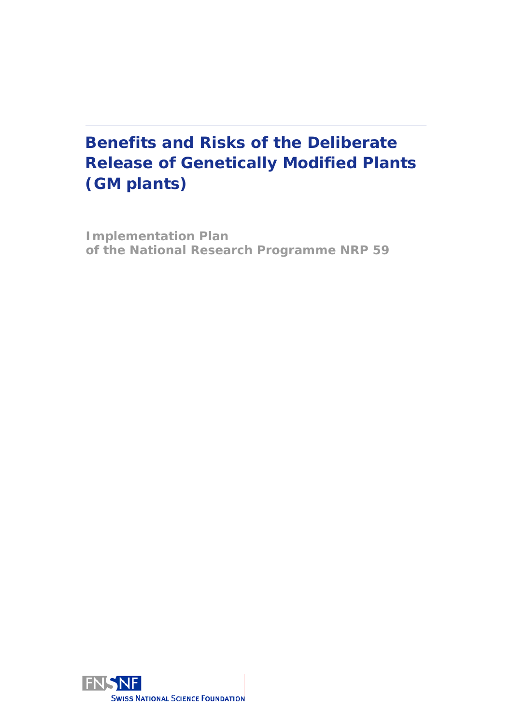# **Benefits and Risks of the Deliberate Release of Genetically Modified Plants (GM plants)**

**Implementation Plan of the National Research Programme NRP 59** 

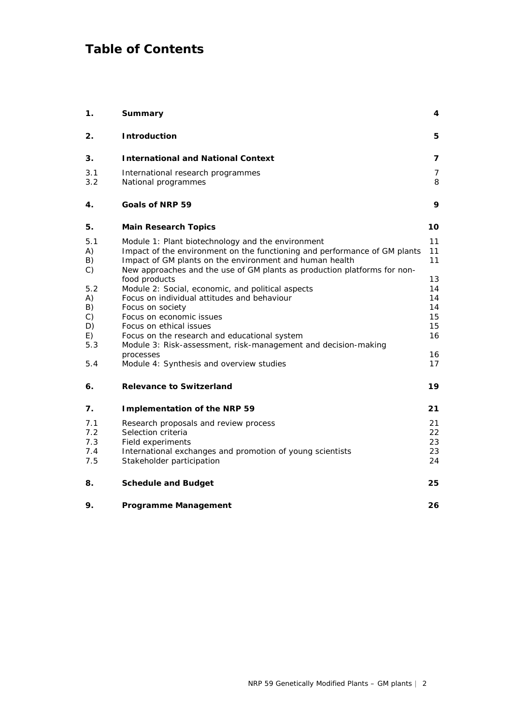# **Table of Contents**

| 1.             | Summary                                                                                                                              | 4                   |
|----------------|--------------------------------------------------------------------------------------------------------------------------------------|---------------------|
| $\mathbf{2}$ . | <b>Introduction</b>                                                                                                                  | 5                   |
| З.             | <b>International and National Context</b>                                                                                            | 7                   |
| 3.1<br>3.2     | International research programmes<br>National programmes                                                                             | $\overline{7}$<br>8 |
| 4.             | Goals of NRP 59                                                                                                                      | 9                   |
| 5.             | <b>Main Research Topics</b>                                                                                                          | 10                  |
| 5.1            | Module 1: Plant biotechnology and the environment                                                                                    | 11                  |
| A)<br>B)       | Impact of the environment on the functioning and performance of GM plants<br>Impact of GM plants on the environment and human health | 11<br>11            |
| C)             | New approaches and the use of GM plants as production platforms for non-<br>food products                                            | 13                  |
| 5.2            | Module 2: Social, economic, and political aspects                                                                                    | 14                  |
| A)             | Focus on individual attitudes and behaviour                                                                                          | 14                  |
| B)             | Focus on society                                                                                                                     | 14                  |
| C)             | Focus on economic issues                                                                                                             | 15                  |
| D)             | Focus on ethical issues                                                                                                              | 15                  |
| E)             | Focus on the research and educational system                                                                                         | 16                  |
| 5.3            | Module 3: Risk-assessment, risk-management and decision-making                                                                       |                     |
|                | processes                                                                                                                            | 16                  |
| 5.4            | Module 4: Synthesis and overview studies                                                                                             | 17                  |
| 6.             | <b>Relevance to Switzerland</b>                                                                                                      | 19                  |
| 7.             | <b>Implementation of the NRP 59</b>                                                                                                  | 21                  |
| 7.1            | Research proposals and review process                                                                                                | 21                  |
| 7.2            | Selection criteria                                                                                                                   | 22                  |
| 7.3            | Field experiments                                                                                                                    | 23                  |
| 7.4            | International exchanges and promotion of young scientists                                                                            | 23                  |
| 7.5            | Stakeholder participation                                                                                                            | 24                  |
| 8.             | <b>Schedule and Budget</b>                                                                                                           | 25                  |
| 9.             | <b>Programme Management</b>                                                                                                          | 26                  |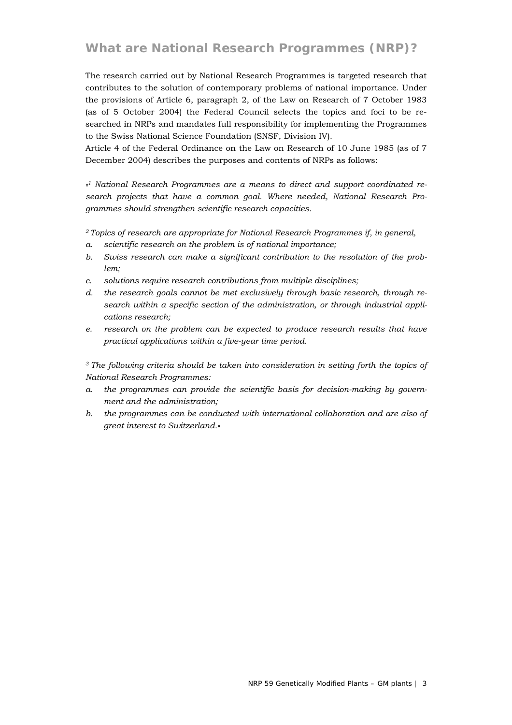# **What are National Research Programmes (NRP)?**

The research carried out by National Research Programmes is targeted research that contributes to the solution of contemporary problems of national importance. Under the provisions of Article 6, paragraph 2, of the Law on Research of 7 October 1983 (as of 5 October 2004) the Federal Council selects the topics and foci to be researched in NRPs and mandates full responsibility for implementing the Programmes to the Swiss National Science Foundation (SNSF, Division IV).

Article 4 of the Federal Ordinance on the Law on Research of 10 June 1985 (as of 7 December 2004) describes the purposes and contents of NRPs as follows:

*«1 National Research Programmes are a means to direct and support coordinated research projects that have a common goal. Where needed, National Research Programmes should strengthen scientific research capacities.* 

*2 Topics of research are appropriate for National Research Programmes if, in general,* 

- *a. scientific research on the problem is of national importance;*
- *b. Swiss research can make a significant contribution to the resolution of the problem;*
- *c. solutions require research contributions from multiple disciplines;*
- *d. the research goals cannot be met exclusively through basic research, through research within a specific section of the administration, or through industrial applications research;*
- *e. research on the problem can be expected to produce research results that have practical applications within a five-year time period.*

*3 The following criteria should be taken into consideration in setting forth the topics of National Research Programmes:* 

- *a. the programmes can provide the scientific basis for decision-making by government and the administration;*
- *b. the programmes can be conducted with international collaboration and are also of great interest to Switzerland.»*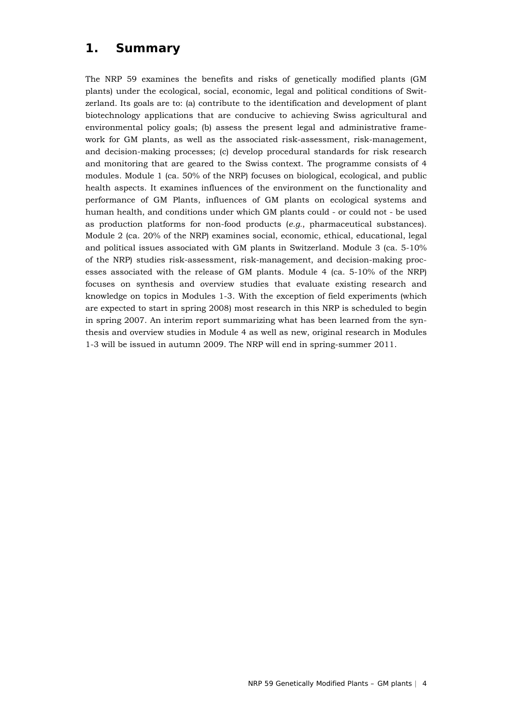# **1. Summary**

The NRP 59 examines the benefits and risks of genetically modified plants (GM plants) under the ecological, social, economic, legal and political conditions of Switzerland. Its goals are to: (a) contribute to the identification and development of plant biotechnology applications that are conducive to achieving Swiss agricultural and environmental policy goals; (b) assess the present legal and administrative framework for GM plants, as well as the associated risk-assessment, risk-management, and decision-making processes; (c) develop procedural standards for risk research and monitoring that are geared to the Swiss context. The programme consists of 4 modules. Module 1 (ca. 50% of the NRP) focuses on biological, ecological, and public health aspects. It examines influences of the environment on the functionality and performance of GM Plants, influences of GM plants on ecological systems and human health, and conditions under which GM plants could - or could not - be used as production platforms for non-food products (*e.g.*, pharmaceutical substances). Module 2 (ca. 20% of the NRP) examines social, economic, ethical, educational, legal and political issues associated with GM plants in Switzerland. Module 3 (ca. 5-10% of the NRP) studies risk-assessment, risk-management, and decision-making processes associated with the release of GM plants. Module 4 (ca. 5-10% of the NRP) focuses on synthesis and overview studies that evaluate existing research and knowledge on topics in Modules 1-3. With the exception of field experiments (which are expected to start in spring 2008) most research in this NRP is scheduled to begin in spring 2007. An interim report summarizing what has been learned from the synthesis and overview studies in Module 4 as well as new, original research in Modules 1-3 will be issued in autumn 2009. The NRP will end in spring-summer 2011.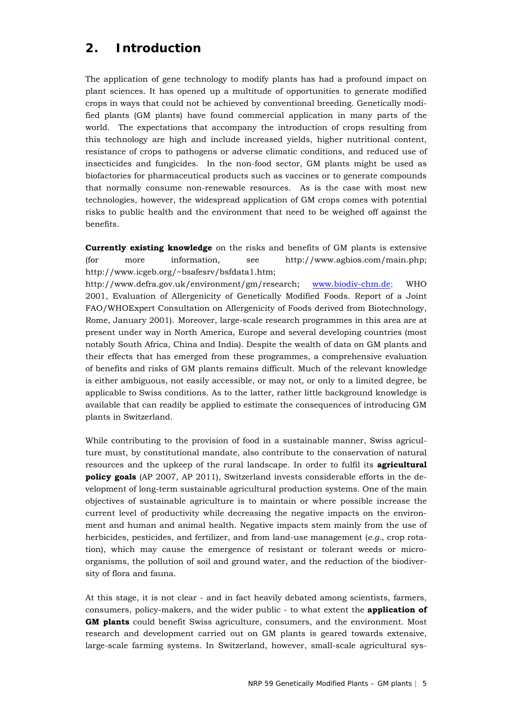# **2. Introduction**

The application of gene technology to modify plants has had a profound impact on plant sciences. It has opened up a multitude of opportunities to generate modified crops in ways that could not be achieved by conventional breeding. Genetically modified plants (GM plants) have found commercial application in many parts of the world. The expectations that accompany the introduction of crops resulting from this technology are high and include increased yields, higher nutritional content, resistance of crops to pathogens or adverse climatic conditions, and reduced use of insecticides and fungicides. In the non-food sector, GM plants might be used as biofactories for pharmaceutical products such as vaccines or to generate compounds that normally consume non-renewable resources. As is the case with most new technologies, however, the widespread application of GM crops comes with potential risks to public health and the environment that need to be weighed off against the benefits.

**Currently existing knowledge** on the risks and benefits of GM plants is extensive (for more information, see http://www.agbios.com/main.php; http://www.icgeb.org/~bsafesrv/bsfdata1.htm;

http://www.defra.gov.uk/environment/gm/research; www.biodiv-chm.de; WHO 2001, Evaluation of Allergenicity of Genetically Modified Foods. Report of a Joint FAO/WHOExpert Consultation on Allergenicity of Foods derived from Biotechnology, Rome, January 2001). Moreover, large-scale research programmes in this area are at present under way in North America, Europe and several developing countries (most notably South Africa, China and India). Despite the wealth of data on GM plants and their effects that has emerged from these programmes, a comprehensive evaluation of benefits and risks of GM plants remains difficult. Much of the relevant knowledge is either ambiguous, not easily accessible, or may not, or only to a limited degree, be applicable to Swiss conditions. As to the latter, rather little background knowledge is available that can readily be applied to estimate the consequences of introducing GM plants in Switzerland.

While contributing to the provision of food in a sustainable manner, Swiss agriculture must, by constitutional mandate, also contribute to the conservation of natural resources and the upkeep of the rural landscape. In order to fulfil its **agricultural policy goals** (AP 2007, AP 2011), Switzerland invests considerable efforts in the development of long-term sustainable agricultural production systems. One of the main objectives of sustainable agriculture is to maintain or where possible increase the current level of productivity while decreasing the negative impacts on the environment and human and animal health. Negative impacts stem mainly from the use of herbicides, pesticides, and fertilizer, and from land-use management (*e.g.*, crop rotation), which may cause the emergence of resistant or tolerant weeds or microorganisms, the pollution of soil and ground water, and the reduction of the biodiversity of flora and fauna.

At this stage, it is not clear - and in fact heavily debated among scientists, farmers, consumers, policy-makers, and the wider public - to what extent the **application of GM plants** could benefit Swiss agriculture, consumers, and the environment. Most research and development carried out on GM plants is geared towards extensive, large-scale farming systems. In Switzerland, however, small-scale agricultural sys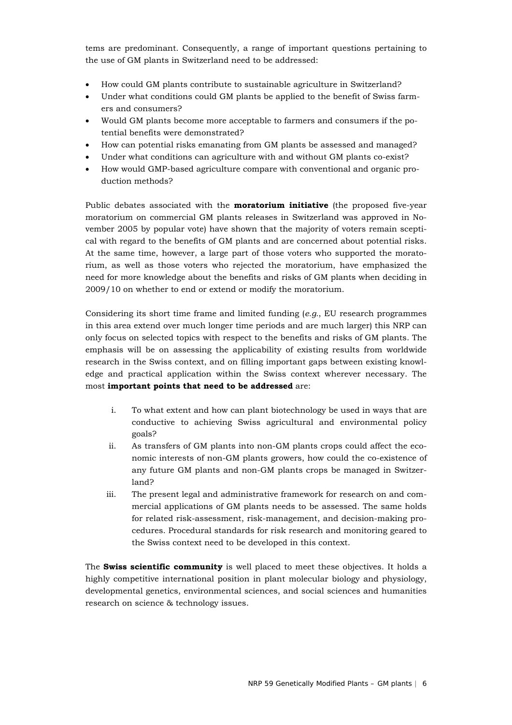tems are predominant. Consequently, a range of important questions pertaining to the use of GM plants in Switzerland need to be addressed:

- How could GM plants contribute to sustainable agriculture in Switzerland?
- Under what conditions could GM plants be applied to the benefit of Swiss farmers and consumers?
- Would GM plants become more acceptable to farmers and consumers if the potential benefits were demonstrated?
- How can potential risks emanating from GM plants be assessed and managed?
- Under what conditions can agriculture with and without GM plants co-exist?
- How would GMP-based agriculture compare with conventional and organic production methods?

Public debates associated with the **moratorium initiative** (the proposed five-year moratorium on commercial GM plants releases in Switzerland was approved in November 2005 by popular vote) have shown that the majority of voters remain sceptical with regard to the benefits of GM plants and are concerned about potential risks. At the same time, however, a large part of those voters who supported the moratorium, as well as those voters who rejected the moratorium, have emphasized the need for more knowledge about the benefits and risks of GM plants when deciding in 2009/10 on whether to end or extend or modify the moratorium.

Considering its short time frame and limited funding (*e.g.*, EU research programmes in this area extend over much longer time periods and are much larger) this NRP can only focus on selected topics with respect to the benefits and risks of GM plants. The emphasis will be on assessing the applicability of existing results from worldwide research in the Swiss context, and on filling important gaps between existing knowledge and practical application within the Swiss context wherever necessary. The most **important points that need to be addressed** are:

- i. To what extent and how can plant biotechnology be used in ways that are conductive to achieving Swiss agricultural and environmental policy goals?
- ii. As transfers of GM plants into non-GM plants crops could affect the economic interests of non-GM plants growers, how could the co-existence of any future GM plants and non-GM plants crops be managed in Switzerland?
- iii. The present legal and administrative framework for research on and commercial applications of GM plants needs to be assessed. The same holds for related risk-assessment, risk-management, and decision-making procedures. Procedural standards for risk research and monitoring geared to the Swiss context need to be developed in this context.

The **Swiss scientific community** is well placed to meet these objectives. It holds a highly competitive international position in plant molecular biology and physiology, developmental genetics, environmental sciences, and social sciences and humanities research on science & technology issues.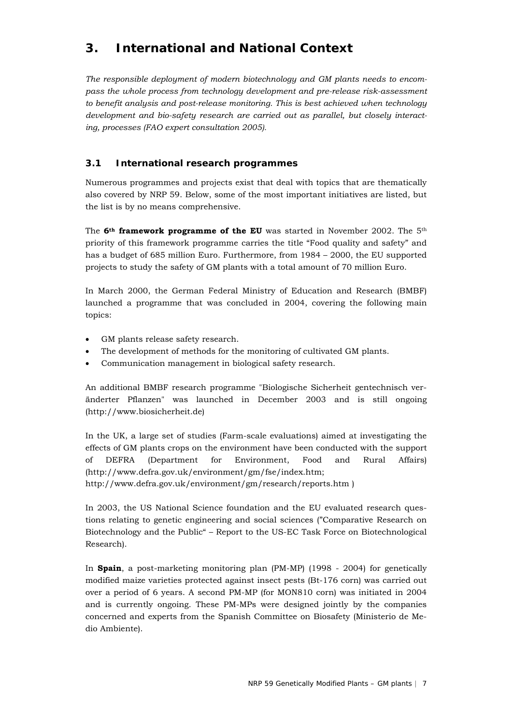# **3. International and National Context**

*The responsible deployment of modern biotechnology and GM plants needs to encompass the whole process from technology development and pre-release risk-assessment to benefit analysis and post-release monitoring. This is best achieved when technology development and bio-safety research are carried out as parallel, but closely interacting, processes (FAO expert consultation 2005).* 

# **3.1 International research programmes**

Numerous programmes and projects exist that deal with topics that are thematically also covered by NRP 59. Below, some of the most important initiatives are listed, but the list is by no means comprehensive.

The **6th framework programme of the EU** was started in November 2002. The 5th priority of this framework programme carries the title "Food quality and safety" and has a budget of 685 million Euro. Furthermore, from 1984 – 2000, the EU supported projects to study the safety of GM plants with a total amount of 70 million Euro.

In March 2000, the German Federal Ministry of Education and Research (BMBF) launched a programme that was concluded in 2004, covering the following main topics:

- GM plants release safety research.
- The development of methods for the monitoring of cultivated GM plants.
- Communication management in biological safety research.

An additional BMBF research programme "Biologische Sicherheit gentechnisch veränderter Pflanzen" was launched in December 2003 and is still ongoing (http://www.biosicherheit.de)

In the UK, a large set of studies (Farm-scale evaluations) aimed at investigating the effects of GM plants crops on the environment have been conducted with the support of DEFRA (Department for Environment, Food and Rural Affairs) (http://www.defra.gov.uk/environment/gm/fse/index.htm; http://www.defra.gov.uk/environment/gm/research/reports.htm )

In 2003, the US National Science foundation and the EU evaluated research questions relating to genetic engineering and social sciences ("Comparative Research on Biotechnology and the Public" – Report to the US-EC Task Force on Biotechnological Research).

In **Spain**, a post-marketing monitoring plan (PM-MP) (1998 - 2004) for genetically modified maize varieties protected against insect pests (Bt-176 corn) was carried out over a period of 6 years. A second PM-MP (for MON810 corn) was initiated in 2004 and is currently ongoing. These PM-MPs were designed jointly by the companies concerned and experts from the Spanish Committee on Biosafety (Ministerio de Medio Ambiente).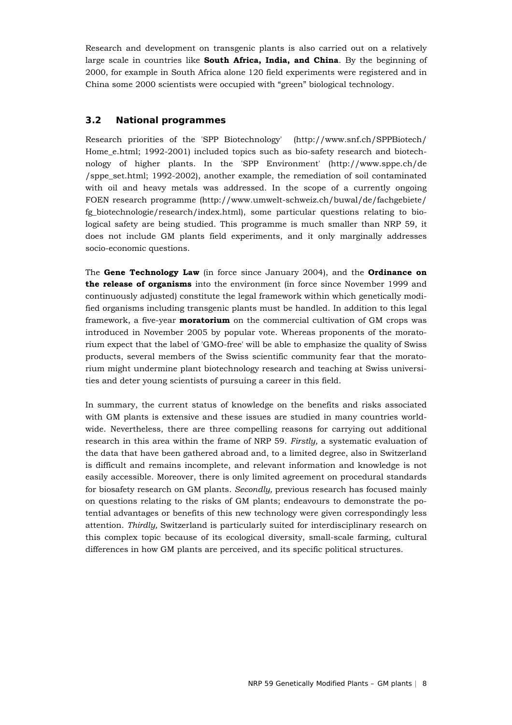Research and development on transgenic plants is also carried out on a relatively large scale in countries like **South Africa, India, and China**. By the beginning of 2000, for example in South Africa alone 120 field experiments were registered and in China some 2000 scientists were occupied with "green" biological technology.

# **3.2 National programmes**

Research priorities of the 'SPP Biotechnology' (http://www.snf.ch/SPPBiotech/ Home\_e.html; 1992-2001) included topics such as bio-safety research and biotechnology of higher plants. In the 'SPP Environment' (http://www.sppe.ch/de /sppe\_set.html; 1992-2002), another example, the remediation of soil contaminated with oil and heavy metals was addressed. In the scope of a currently ongoing FOEN research programme (http://www.umwelt-schweiz.ch/buwal/de/fachgebiete/ fg\_biotechnologie/research/index.html), some particular questions relating to biological safety are being studied. This programme is much smaller than NRP 59, it does not include GM plants field experiments, and it only marginally addresses socio-economic questions.

The **Gene Technology Law** (in force since January 2004), and the **Ordinance on the release of organisms** into the environment (in force since November 1999 and continuously adjusted) constitute the legal framework within which genetically modified organisms including transgenic plants must be handled. In addition to this legal framework, a five-year **moratorium** on the commercial cultivation of GM crops was introduced in November 2005 by popular vote. Whereas proponents of the moratorium expect that the label of 'GMO-free' will be able to emphasize the quality of Swiss products, several members of the Swiss scientific community fear that the moratorium might undermine plant biotechnology research and teaching at Swiss universities and deter young scientists of pursuing a career in this field.

In summary, the current status of knowledge on the benefits and risks associated with GM plants is extensive and these issues are studied in many countries worldwide. Nevertheless, there are three compelling reasons for carrying out additional research in this area within the frame of NRP 59. *Firstly,* a systematic evaluation of the data that have been gathered abroad and, to a limited degree, also in Switzerland is difficult and remains incomplete, and relevant information and knowledge is not easily accessible. Moreover, there is only limited agreement on procedural standards for biosafety research on GM plants. *Secondly,* previous research has focused mainly on questions relating to the risks of GM plants; endeavours to demonstrate the potential advantages or benefits of this new technology were given correspondingly less attention. *Thirdly,* Switzerland is particularly suited for interdisciplinary research on this complex topic because of its ecological diversity, small-scale farming, cultural differences in how GM plants are perceived, and its specific political structures.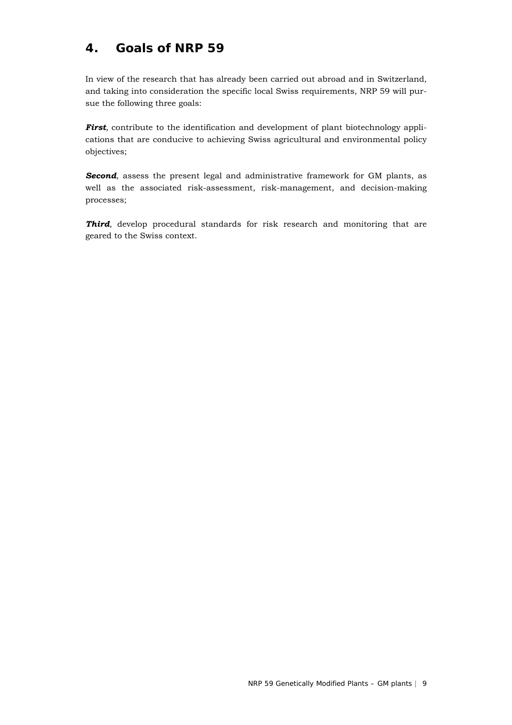# **4. Goals of NRP 59**

In view of the research that has already been carried out abroad and in Switzerland, and taking into consideration the specific local Swiss requirements, NRP 59 will pursue the following three goals:

*First*, contribute to the identification and development of plant biotechnology applications that are conducive to achieving Swiss agricultural and environmental policy objectives;

**Second**, assess the present legal and administrative framework for GM plants, as well as the associated risk-assessment, risk-management, and decision-making processes;

*Third,* develop procedural standards for risk research and monitoring that are geared to the Swiss context.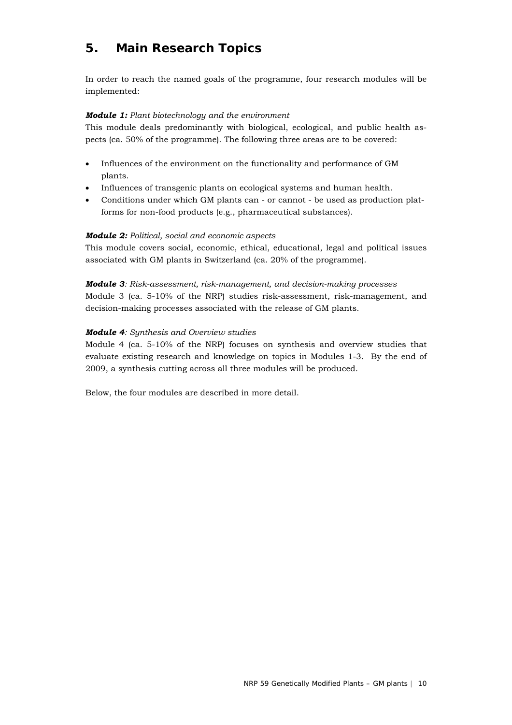# **5. Main Research Topics**

In order to reach the named goals of the programme, four research modules will be implemented:

#### *Module 1: Plant biotechnology and the environment*

This module deals predominantly with biological, ecological, and public health aspects (ca. 50% of the programme). The following three areas are to be covered:

- Influences of the environment on the functionality and performance of GM plants.
- Influences of transgenic plants on ecological systems and human health.
- Conditions under which GM plants can or cannot be used as production platforms for non-food products (e.g., pharmaceutical substances).

#### *Module 2: Political, social and economic aspects*

This module covers social, economic, ethical, educational, legal and political issues associated with GM plants in Switzerland (ca. 20% of the programme).

*Module 3: Risk-assessment, risk-management, and decision-making processes*  Module 3 (ca. 5-10% of the NRP) studies risk-assessment, risk-management, and decision-making processes associated with the release of GM plants.

#### *Module 4: Synthesis and Overview studies*

Module 4 (ca. 5-10% of the NRP) focuses on synthesis and overview studies that evaluate existing research and knowledge on topics in Modules 1-3. By the end of 2009, a synthesis cutting across all three modules will be produced.

Below, the four modules are described in more detail.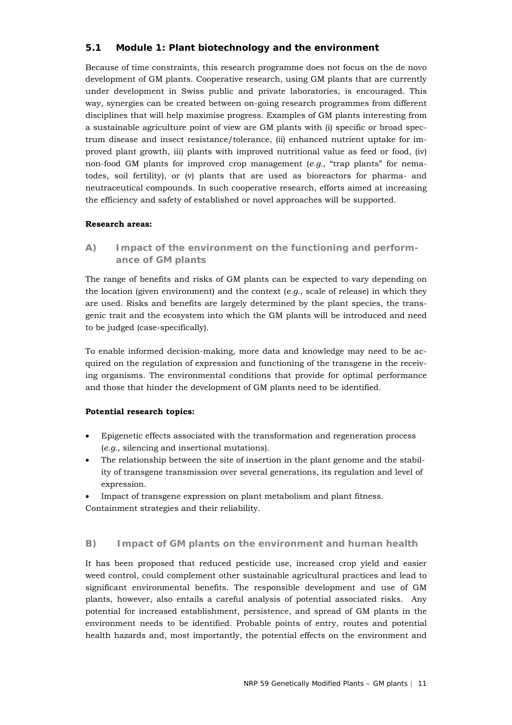# **5.1 Module 1: Plant biotechnology and the environment**

Because of time constraints, this research programme does not focus on the de novo development of GM plants. Cooperative research, using GM plants that are currently under development in Swiss public and private laboratories, is encouraged. This way, synergies can be created between on-going research programmes from different disciplines that will help maximise progress. Examples of GM plants interesting from a sustainable agriculture point of view are GM plants with (i) specific or broad spectrum disease and insect resistance/tolerance, (ii) enhanced nutrient uptake for improved plant growth, iii) plants with improved nutritional value as feed or food, (iv) non-food GM plants for improved crop management (*e.g.*, "trap plants" for nematodes, soil fertility), or (v) plants that are used as bioreactors for pharma- and neutraceutical compounds. In such cooperative research, efforts aimed at increasing the efficiency and safety of established or novel approaches will be supported.

#### **Research areas:**

**A) Impact of the environment on the functioning and performance of GM plants** 

The range of benefits and risks of GM plants can be expected to vary depending on the location (given environment) and the context (*e.g.*, scale of release) in which they are used. Risks and benefits are largely determined by the plant species, the transgenic trait and the ecosystem into which the GM plants will be introduced and need to be judged (case-specifically).

To enable informed decision-making, more data and knowledge may need to be acquired on the regulation of expression and functioning of the transgene in the receiving organisms. The environmental conditions that provide for optimal performance and those that hinder the development of GM plants need to be identified.

### **Potential research topics:**

- Epigenetic effects associated with the transformation and regeneration process (*e.g.*, silencing and insertional mutations).
- The relationship between the site of insertion in the plant genome and the stability of transgene transmission over several generations, its regulation and level of expression.
- Impact of transgene expression on plant metabolism and plant fitness.
- Containment strategies and their reliability.

### **B) Impact of GM plants on the environment and human health**

It has been proposed that reduced pesticide use, increased crop yield and easier weed control, could complement other sustainable agricultural practices and lead to significant environmental benefits. The responsible development and use of GM plants, however, also entails a careful analysis of potential associated risks. Any potential for increased establishment, persistence, and spread of GM plants in the environment needs to be identified. Probable points of entry, routes and potential health hazards and, most importantly, the potential effects on the environment and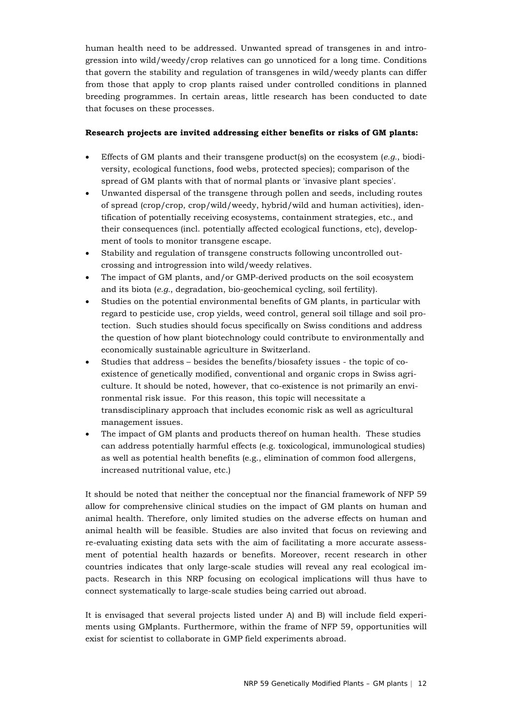human health need to be addressed. Unwanted spread of transgenes in and introgression into wild/weedy/crop relatives can go unnoticed for a long time. Conditions that govern the stability and regulation of transgenes in wild/weedy plants can differ from those that apply to crop plants raised under controlled conditions in planned breeding programmes. In certain areas, little research has been conducted to date that focuses on these processes.

#### **Research projects are invited addressing either benefits or risks of GM plants:**

- Effects of GM plants and their transgene product(s) on the ecosystem (*e.g.*, biodiversity, ecological functions, food webs, protected species); comparison of the spread of GM plants with that of normal plants or 'invasive plant species'.
- Unwanted dispersal of the transgene through pollen and seeds, including routes of spread (crop/crop, crop/wild/weedy, hybrid/wild and human activities), identification of potentially receiving ecosystems, containment strategies, etc., and their consequences (incl. potentially affected ecological functions, etc), development of tools to monitor transgene escape.
- Stability and regulation of transgene constructs following uncontrolled outcrossing and introgression into wild/weedy relatives.
- The impact of GM plants, and/or GMP-derived products on the soil ecosystem and its biota (*e.g.*, degradation, bio-geochemical cycling, soil fertility).
- Studies on the potential environmental benefits of GM plants, in particular with regard to pesticide use, crop yields, weed control, general soil tillage and soil protection. Such studies should focus specifically on Swiss conditions and address the question of how plant biotechnology could contribute to environmentally and economically sustainable agriculture in Switzerland.
- Studies that address besides the benefits/biosafety issues the topic of coexistence of genetically modified, conventional and organic crops in Swiss agriculture. It should be noted, however, that co-existence is not primarily an environmental risk issue. For this reason, this topic will necessitate a transdisciplinary approach that includes economic risk as well as agricultural management issues.
- The impact of GM plants and products thereof on human health. These studies can address potentially harmful effects (e.g. toxicological, immunological studies) as well as potential health benefits (e.g., elimination of common food allergens, increased nutritional value, etc.)

It should be noted that neither the conceptual nor the financial framework of NFP 59 allow for comprehensive clinical studies on the impact of GM plants on human and animal health. Therefore, only limited studies on the adverse effects on human and animal health will be feasible. Studies are also invited that focus on reviewing and re-evaluating existing data sets with the aim of facilitating a more accurate assessment of potential health hazards or benefits. Moreover, recent research in other countries indicates that only large-scale studies will reveal any real ecological impacts. Research in this NRP focusing on ecological implications will thus have to connect systematically to large-scale studies being carried out abroad.

It is envisaged that several projects listed under A) and B) will include field experiments using GMplants. Furthermore, within the frame of NFP 59, opportunities will exist for scientist to collaborate in GMP field experiments abroad.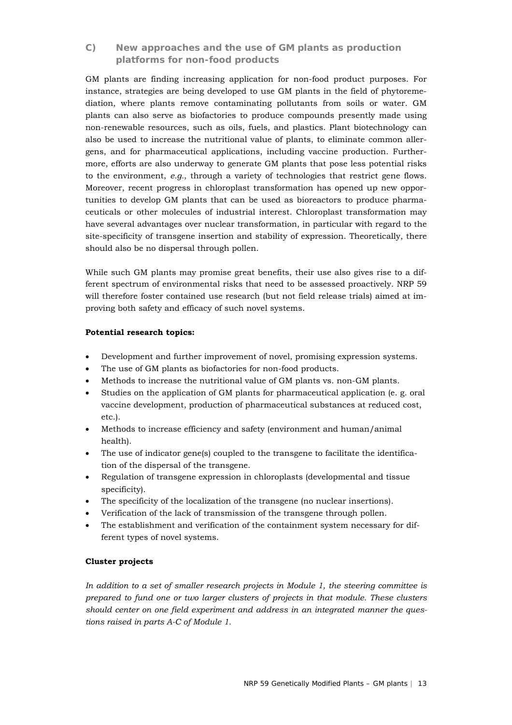# **C) New approaches and the use of GM plants as production platforms for non-food products**

GM plants are finding increasing application for non-food product purposes. For instance, strategies are being developed to use GM plants in the field of phytoremediation, where plants remove contaminating pollutants from soils or water. GM plants can also serve as biofactories to produce compounds presently made using non-renewable resources, such as oils, fuels, and plastics. Plant biotechnology can also be used to increase the nutritional value of plants, to eliminate common allergens, and for pharmaceutical applications, including vaccine production. Furthermore, efforts are also underway to generate GM plants that pose less potential risks to the environment, *e.g.*, through a variety of technologies that restrict gene flows. Moreover, recent progress in chloroplast transformation has opened up new opportunities to develop GM plants that can be used as bioreactors to produce pharmaceuticals or other molecules of industrial interest. Chloroplast transformation may have several advantages over nuclear transformation, in particular with regard to the site-specificity of transgene insertion and stability of expression. Theoretically, there should also be no dispersal through pollen.

While such GM plants may promise great benefits, their use also gives rise to a different spectrum of environmental risks that need to be assessed proactively. NRP 59 will therefore foster contained use research (but not field release trials) aimed at improving both safety and efficacy of such novel systems.

#### **Potential research topics:**

- Development and further improvement of novel, promising expression systems.
- The use of GM plants as biofactories for non-food products.
- Methods to increase the nutritional value of GM plants vs. non-GM plants.
- Studies on the application of GM plants for pharmaceutical application (e. g. oral vaccine development, production of pharmaceutical substances at reduced cost, etc.).
- Methods to increase efficiency and safety (environment and human/animal health).
- The use of indicator gene(s) coupled to the transgene to facilitate the identification of the dispersal of the transgene.
- Regulation of transgene expression in chloroplasts (developmental and tissue specificity).
- The specificity of the localization of the transgene (no nuclear insertions).
- Verification of the lack of transmission of the transgene through pollen.
- The establishment and verification of the containment system necessary for different types of novel systems.

### **Cluster projects**

*In addition to a set of smaller research projects in Module 1, the steering committee is prepared to fund one or two larger clusters of projects in that module. These clusters should center on one field experiment and address in an integrated manner the questions raised in parts A-C of Module 1.*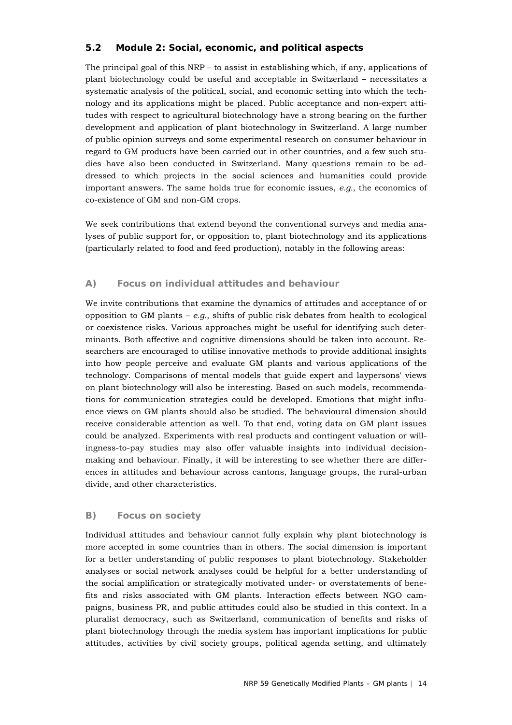# **5.2 Module 2: Social, economic, and political aspects**

The principal goal of this NRP – to assist in establishing which, if any, applications of plant biotechnology could be useful and acceptable in Switzerland – necessitates a systematic analysis of the political, social, and economic setting into which the technology and its applications might be placed. Public acceptance and non-expert attitudes with respect to agricultural biotechnology have a strong bearing on the further development and application of plant biotechnology in Switzerland. A large number of public opinion surveys and some experimental research on consumer behaviour in regard to GM products have been carried out in other countries, and a few such studies have also been conducted in Switzerland. Many questions remain to be addressed to which projects in the social sciences and humanities could provide important answers. The same holds true for economic issues, *e.g.*, the economics of co-existence of GM and non-GM crops.

We seek contributions that extend beyond the conventional surveys and media analyses of public support for, or opposition to, plant biotechnology and its applications (particularly related to food and feed production), notably in the following areas:

### **A) Focus on individual attitudes and behaviour**

We invite contributions that examine the dynamics of attitudes and acceptance of or opposition to GM plants – *e.g.*, shifts of public risk debates from health to ecological or coexistence risks. Various approaches might be useful for identifying such determinants. Both affective and cognitive dimensions should be taken into account. Researchers are encouraged to utilise innovative methods to provide additional insights into how people perceive and evaluate GM plants and various applications of the technology. Comparisons of mental models that guide expert and laypersons' views on plant biotechnology will also be interesting. Based on such models, recommendations for communication strategies could be developed. Emotions that might influence views on GM plants should also be studied. The behavioural dimension should receive considerable attention as well. To that end, voting data on GM plant issues could be analyzed. Experiments with real products and contingent valuation or willingness-to-pay studies may also offer valuable insights into individual decisionmaking and behaviour. Finally, it will be interesting to see whether there are differences in attitudes and behaviour across cantons, language groups, the rural-urban divide, and other characteristics.

### **B) Focus on society**

Individual attitudes and behaviour cannot fully explain why plant biotechnology is more accepted in some countries than in others. The social dimension is important for a better understanding of public responses to plant biotechnology. Stakeholder analyses or social network analyses could be helpful for a better understanding of the social amplification or strategically motivated under- or overstatements of benefits and risks associated with GM plants. Interaction effects between NGO campaigns, business PR, and public attitudes could also be studied in this context. In a pluralist democracy, such as Switzerland, communication of benefits and risks of plant biotechnology through the media system has important implications for public attitudes, activities by civil society groups, political agenda setting, and ultimately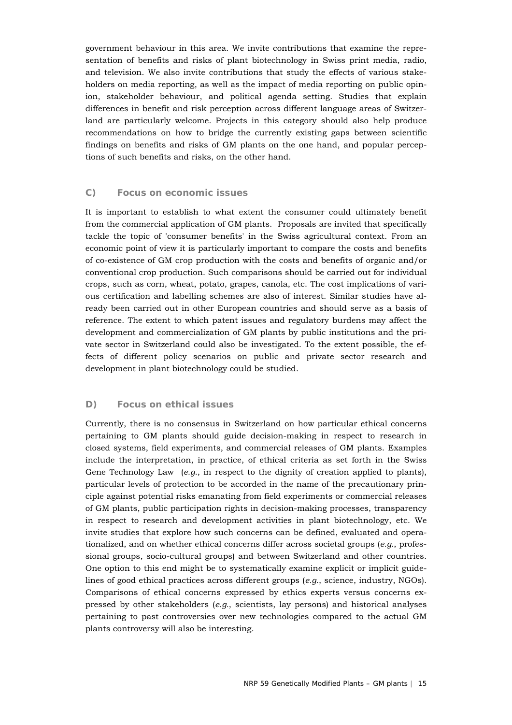government behaviour in this area. We invite contributions that examine the representation of benefits and risks of plant biotechnology in Swiss print media, radio, and television. We also invite contributions that study the effects of various stakeholders on media reporting, as well as the impact of media reporting on public opinion, stakeholder behaviour, and political agenda setting. Studies that explain differences in benefit and risk perception across different language areas of Switzerland are particularly welcome. Projects in this category should also help produce recommendations on how to bridge the currently existing gaps between scientific findings on benefits and risks of GM plants on the one hand, and popular perceptions of such benefits and risks, on the other hand.

#### **C) Focus on economic issues**

It is important to establish to what extent the consumer could ultimately benefit from the commercial application of GM plants. Proposals are invited that specifically tackle the topic of 'consumer benefits' in the Swiss agricultural context. From an economic point of view it is particularly important to compare the costs and benefits of co-existence of GM crop production with the costs and benefits of organic and/or conventional crop production. Such comparisons should be carried out for individual crops, such as corn, wheat, potato, grapes, canola, etc. The cost implications of various certification and labelling schemes are also of interest. Similar studies have already been carried out in other European countries and should serve as a basis of reference. The extent to which patent issues and regulatory burdens may affect the development and commercialization of GM plants by public institutions and the private sector in Switzerland could also be investigated. To the extent possible, the effects of different policy scenarios on public and private sector research and development in plant biotechnology could be studied.

#### **D) Focus on ethical issues**

Currently, there is no consensus in Switzerland on how particular ethical concerns pertaining to GM plants should guide decision-making in respect to research in closed systems, field experiments, and commercial releases of GM plants. Examples include the interpretation, in practice, of ethical criteria as set forth in the Swiss Gene Technology Law (*e.g.*, in respect to the dignity of creation applied to plants), particular levels of protection to be accorded in the name of the precautionary principle against potential risks emanating from field experiments or commercial releases of GM plants, public participation rights in decision-making processes, transparency in respect to research and development activities in plant biotechnology, etc. We invite studies that explore how such concerns can be defined, evaluated and operationalized, and on whether ethical concerns differ across societal groups (*e.g.*, professional groups, socio-cultural groups) and between Switzerland and other countries. One option to this end might be to systematically examine explicit or implicit guidelines of good ethical practices across different groups (*e.g.*, science, industry, NGOs). Comparisons of ethical concerns expressed by ethics experts versus concerns expressed by other stakeholders (*e.g.*, scientists, lay persons) and historical analyses pertaining to past controversies over new technologies compared to the actual GM plants controversy will also be interesting.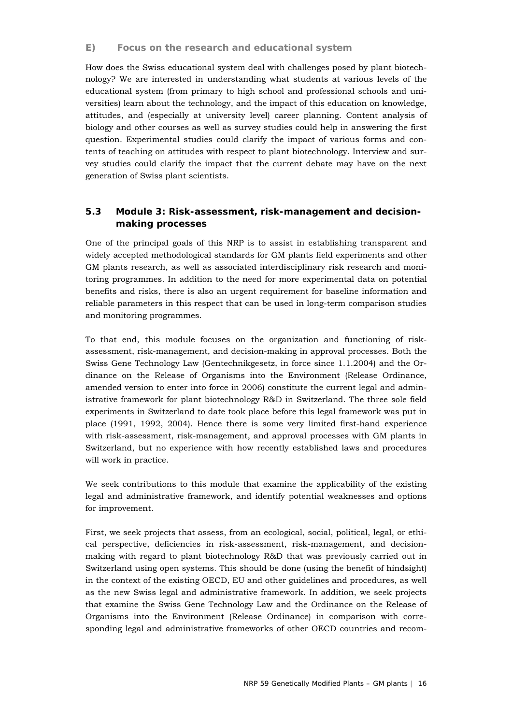### **E) Focus on the research and educational system**

How does the Swiss educational system deal with challenges posed by plant biotechnology? We are interested in understanding what students at various levels of the educational system (from primary to high school and professional schools and universities) learn about the technology, and the impact of this education on knowledge, attitudes, and (especially at university level) career planning. Content analysis of biology and other courses as well as survey studies could help in answering the first question. Experimental studies could clarify the impact of various forms and contents of teaching on attitudes with respect to plant biotechnology. Interview and survey studies could clarify the impact that the current debate may have on the next generation of Swiss plant scientists.

### **5.3 Module 3: Risk-assessment, risk-management and decisionmaking processes**

One of the principal goals of this NRP is to assist in establishing transparent and widely accepted methodological standards for GM plants field experiments and other GM plants research, as well as associated interdisciplinary risk research and monitoring programmes. In addition to the need for more experimental data on potential benefits and risks, there is also an urgent requirement for baseline information and reliable parameters in this respect that can be used in long-term comparison studies and monitoring programmes.

To that end, this module focuses on the organization and functioning of riskassessment, risk-management, and decision-making in approval processes. Both the Swiss Gene Technology Law (Gentechnikgesetz, in force since 1.1.2004) and the Ordinance on the Release of Organisms into the Environment (Release Ordinance, amended version to enter into force in 2006) constitute the current legal and administrative framework for plant biotechnology R&D in Switzerland. The three sole field experiments in Switzerland to date took place before this legal framework was put in place (1991, 1992, 2004). Hence there is some very limited first-hand experience with risk-assessment, risk-management, and approval processes with GM plants in Switzerland, but no experience with how recently established laws and procedures will work in practice.

We seek contributions to this module that examine the applicability of the existing legal and administrative framework, and identify potential weaknesses and options for improvement.

First, we seek projects that assess, from an ecological, social, political, legal, or ethical perspective, deficiencies in risk-assessment, risk-management, and decisionmaking with regard to plant biotechnology R&D that was previously carried out in Switzerland using open systems. This should be done (using the benefit of hindsight) in the context of the existing OECD, EU and other guidelines and procedures, as well as the new Swiss legal and administrative framework. In addition, we seek projects that examine the Swiss Gene Technology Law and the Ordinance on the Release of Organisms into the Environment (Release Ordinance) in comparison with corresponding legal and administrative frameworks of other OECD countries and recom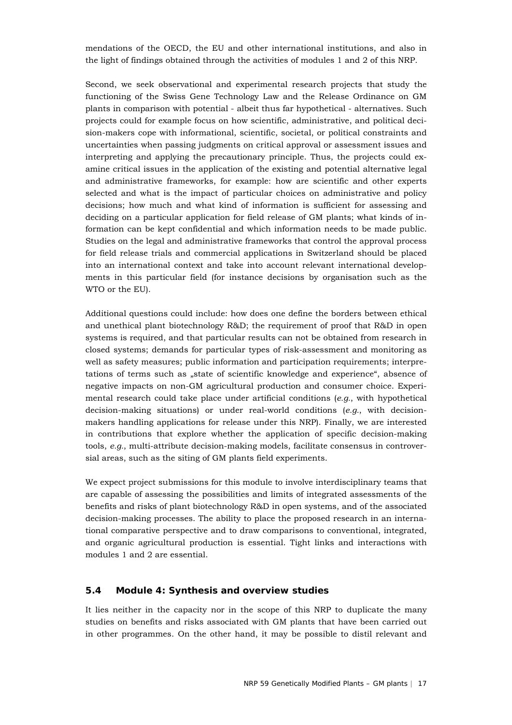mendations of the OECD, the EU and other international institutions, and also in the light of findings obtained through the activities of modules 1 and 2 of this NRP.

Second, we seek observational and experimental research projects that study the functioning of the Swiss Gene Technology Law and the Release Ordinance on GM plants in comparison with potential - albeit thus far hypothetical - alternatives. Such projects could for example focus on how scientific, administrative, and political decision-makers cope with informational, scientific, societal, or political constraints and uncertainties when passing judgments on critical approval or assessment issues and interpreting and applying the precautionary principle. Thus, the projects could examine critical issues in the application of the existing and potential alternative legal and administrative frameworks, for example: how are scientific and other experts selected and what is the impact of particular choices on administrative and policy decisions; how much and what kind of information is sufficient for assessing and deciding on a particular application for field release of GM plants; what kinds of information can be kept confidential and which information needs to be made public. Studies on the legal and administrative frameworks that control the approval process for field release trials and commercial applications in Switzerland should be placed into an international context and take into account relevant international developments in this particular field (for instance decisions by organisation such as the WTO or the EU).

Additional questions could include: how does one define the borders between ethical and unethical plant biotechnology R&D; the requirement of proof that R&D in open systems is required, and that particular results can not be obtained from research in closed systems; demands for particular types of risk-assessment and monitoring as well as safety measures; public information and participation requirements; interpretations of terms such as "state of scientific knowledge and experience", absence of negative impacts on non-GM agricultural production and consumer choice. Experimental research could take place under artificial conditions (*e.g.*, with hypothetical decision-making situations) or under real-world conditions (*e.g.*, with decisionmakers handling applications for release under this NRP). Finally, we are interested in contributions that explore whether the application of specific decision-making tools, *e.g.*, multi-attribute decision-making models, facilitate consensus in controversial areas, such as the siting of GM plants field experiments.

We expect project submissions for this module to involve interdisciplinary teams that are capable of assessing the possibilities and limits of integrated assessments of the benefits and risks of plant biotechnology R&D in open systems, and of the associated decision-making processes. The ability to place the proposed research in an international comparative perspective and to draw comparisons to conventional, integrated, and organic agricultural production is essential. Tight links and interactions with modules 1 and 2 are essential.

#### **5.4 Module 4: Synthesis and overview studies**

It lies neither in the capacity nor in the scope of this NRP to duplicate the many studies on benefits and risks associated with GM plants that have been carried out in other programmes. On the other hand, it may be possible to distil relevant and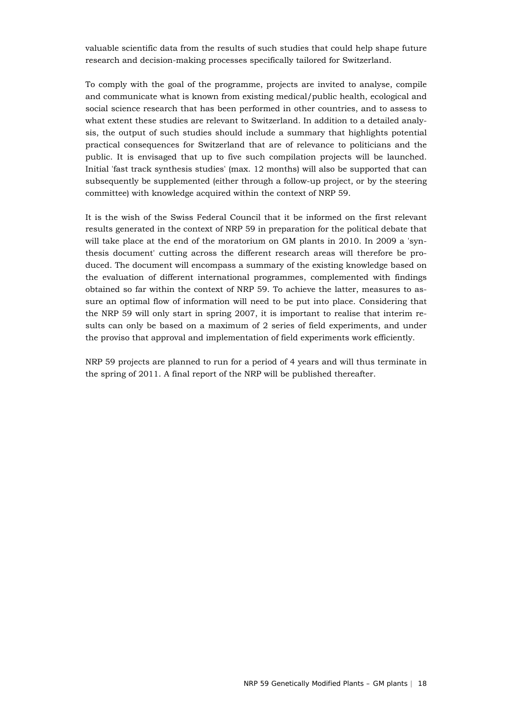valuable scientific data from the results of such studies that could help shape future research and decision-making processes specifically tailored for Switzerland.

To comply with the goal of the programme, projects are invited to analyse, compile and communicate what is known from existing medical/public health, ecological and social science research that has been performed in other countries, and to assess to what extent these studies are relevant to Switzerland. In addition to a detailed analysis, the output of such studies should include a summary that highlights potential practical consequences for Switzerland that are of relevance to politicians and the public. It is envisaged that up to five such compilation projects will be launched. Initial 'fast track synthesis studies' (max. 12 months) will also be supported that can subsequently be supplemented (either through a follow-up project, or by the steering committee) with knowledge acquired within the context of NRP 59.

It is the wish of the Swiss Federal Council that it be informed on the first relevant results generated in the context of NRP 59 in preparation for the political debate that will take place at the end of the moratorium on GM plants in 2010. In 2009 a 'synthesis document' cutting across the different research areas will therefore be produced. The document will encompass a summary of the existing knowledge based on the evaluation of different international programmes, complemented with findings obtained so far within the context of NRP 59. To achieve the latter, measures to assure an optimal flow of information will need to be put into place. Considering that the NRP 59 will only start in spring 2007, it is important to realise that interim results can only be based on a maximum of 2 series of field experiments, and under the proviso that approval and implementation of field experiments work efficiently.

NRP 59 projects are planned to run for a period of 4 years and will thus terminate in the spring of 2011. A final report of the NRP will be published thereafter.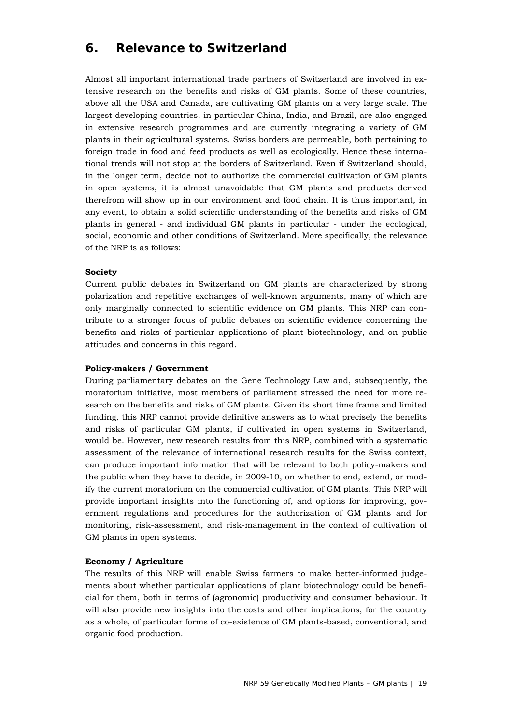# **6. Relevance to Switzerland**

Almost all important international trade partners of Switzerland are involved in extensive research on the benefits and risks of GM plants. Some of these countries, above all the USA and Canada, are cultivating GM plants on a very large scale. The largest developing countries, in particular China, India, and Brazil, are also engaged in extensive research programmes and are currently integrating a variety of GM plants in their agricultural systems. Swiss borders are permeable, both pertaining to foreign trade in food and feed products as well as ecologically. Hence these international trends will not stop at the borders of Switzerland. Even if Switzerland should, in the longer term, decide not to authorize the commercial cultivation of GM plants in open systems, it is almost unavoidable that GM plants and products derived therefrom will show up in our environment and food chain. It is thus important, in any event, to obtain a solid scientific understanding of the benefits and risks of GM plants in general - and individual GM plants in particular - under the ecological, social, economic and other conditions of Switzerland. More specifically, the relevance of the NRP is as follows:

#### **Society**

Current public debates in Switzerland on GM plants are characterized by strong polarization and repetitive exchanges of well-known arguments, many of which are only marginally connected to scientific evidence on GM plants. This NRP can contribute to a stronger focus of public debates on scientific evidence concerning the benefits and risks of particular applications of plant biotechnology, and on public attitudes and concerns in this regard.

#### **Policy-makers / Government**

During parliamentary debates on the Gene Technology Law and, subsequently, the moratorium initiative, most members of parliament stressed the need for more research on the benefits and risks of GM plants. Given its short time frame and limited funding, this NRP cannot provide definitive answers as to what precisely the benefits and risks of particular GM plants, if cultivated in open systems in Switzerland, would be. However, new research results from this NRP, combined with a systematic assessment of the relevance of international research results for the Swiss context, can produce important information that will be relevant to both policy-makers and the public when they have to decide, in 2009-10, on whether to end, extend, or modify the current moratorium on the commercial cultivation of GM plants. This NRP will provide important insights into the functioning of, and options for improving, government regulations and procedures for the authorization of GM plants and for monitoring, risk-assessment, and risk-management in the context of cultivation of GM plants in open systems.

#### **Economy / Agriculture**

The results of this NRP will enable Swiss farmers to make better-informed judgements about whether particular applications of plant biotechnology could be beneficial for them, both in terms of (agronomic) productivity and consumer behaviour. It will also provide new insights into the costs and other implications, for the country as a whole, of particular forms of co-existence of GM plants-based, conventional, and organic food production.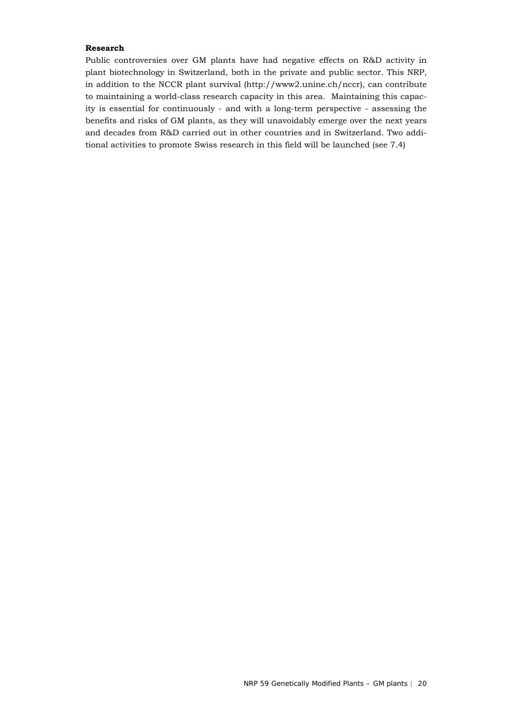#### **Research**

Public controversies over GM plants have had negative effects on R&D activity in plant biotechnology in Switzerland, both in the private and public sector. This NRP, in addition to the NCCR plant survival (http://www2.unine.ch/nccr), can contribute to maintaining a world-class research capacity in this area. Maintaining this capacity is essential for continuously - and with a long-term perspective - assessing the benefits and risks of GM plants, as they will unavoidably emerge over the next years and decades from R&D carried out in other countries and in Switzerland. Two additional activities to promote Swiss research in this field will be launched (see 7.4)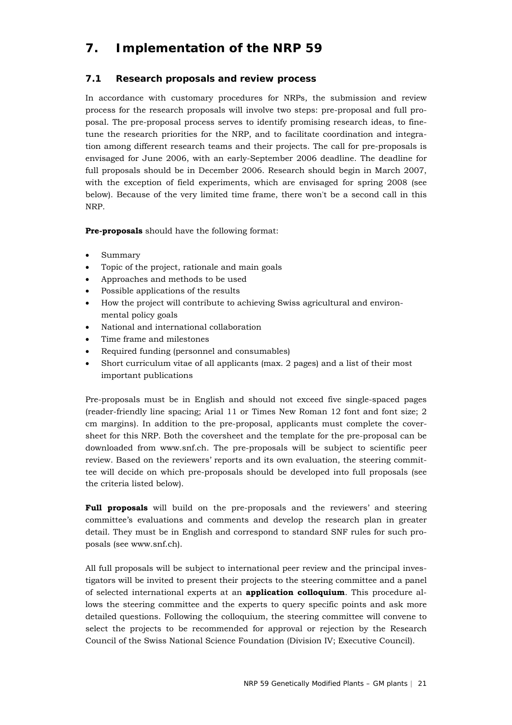# **7. Implementation of the NRP 59**

# **7.1 Research proposals and review process**

In accordance with customary procedures for NRPs, the submission and review process for the research proposals will involve two steps: pre-proposal and full proposal. The pre-proposal process serves to identify promising research ideas, to finetune the research priorities for the NRP, and to facilitate coordination and integration among different research teams and their projects. The call for pre-proposals is envisaged for June 2006, with an early-September 2006 deadline. The deadline for full proposals should be in December 2006. Research should begin in March 2007, with the exception of field experiments, which are envisaged for spring 2008 (see below). Because of the very limited time frame, there won't be a second call in this NRP.

**Pre-proposals** should have the following format:

- Summary
- Topic of the project, rationale and main goals
- Approaches and methods to be used
- Possible applications of the results
- How the project will contribute to achieving Swiss agricultural and environmental policy goals
- National and international collaboration
- Time frame and milestones
- Required funding (personnel and consumables)
- Short curriculum vitae of all applicants (max. 2 pages) and a list of their most important publications

Pre-proposals must be in English and should not exceed five single-spaced pages (reader-friendly line spacing; Arial 11 or Times New Roman 12 font and font size; 2 cm margins). In addition to the pre-proposal, applicants must complete the coversheet for this NRP. Both the coversheet and the template for the pre-proposal can be downloaded from www.snf.ch. The pre-proposals will be subject to scientific peer review. Based on the reviewers' reports and its own evaluation, the steering committee will decide on which pre-proposals should be developed into full proposals (see the criteria listed below).

**Full proposals** will build on the pre-proposals and the reviewers' and steering committee's evaluations and comments and develop the research plan in greater detail. They must be in English and correspond to standard SNF rules for such proposals (see www.snf.ch).

All full proposals will be subject to international peer review and the principal investigators will be invited to present their projects to the steering committee and a panel of selected international experts at an **application colloquium**. This procedure allows the steering committee and the experts to query specific points and ask more detailed questions. Following the colloquium, the steering committee will convene to select the projects to be recommended for approval or rejection by the Research Council of the Swiss National Science Foundation (Division IV; Executive Council).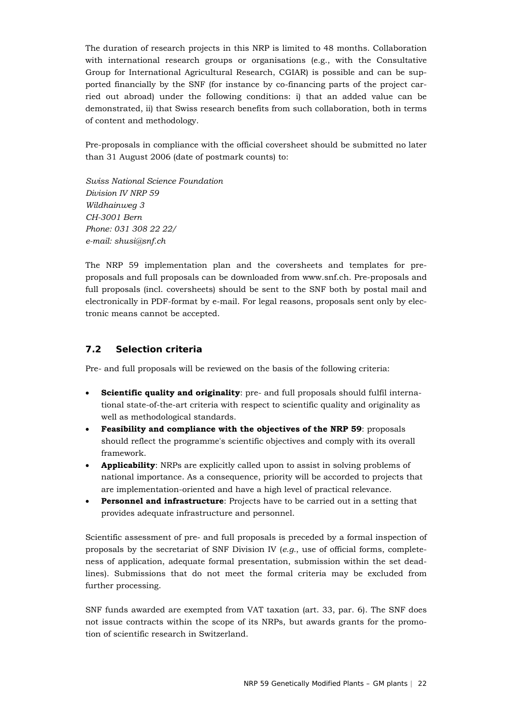The duration of research projects in this NRP is limited to 48 months. Collaboration with international research groups or organisations (e.g., with the Consultative Group for International Agricultural Research, CGIAR) is possible and can be supported financially by the SNF (for instance by co-financing parts of the project carried out abroad) under the following conditions: i) that an added value can be demonstrated, ii) that Swiss research benefits from such collaboration, both in terms of content and methodology.

Pre-proposals in compliance with the official coversheet should be submitted no later than 31 August 2006 (date of postmark counts) to:

*Swiss National Science Foundation Division IV NRP 59 Wildhainweg 3 CH-3001 Bern Phone: 031 308 22 22/ e-mail: shusi@snf.ch* 

The NRP 59 implementation plan and the coversheets and templates for preproposals and full proposals can be downloaded from www.snf.ch. Pre-proposals and full proposals (incl. coversheets) should be sent to the SNF both by postal mail and electronically in PDF-format by e-mail. For legal reasons, proposals sent only by electronic means cannot be accepted.

# **7.2 Selection criteria**

Pre- and full proposals will be reviewed on the basis of the following criteria:

- **Scientific quality and originality**: pre- and full proposals should fulfil international state-of-the-art criteria with respect to scientific quality and originality as well as methodological standards.
- **Feasibility and compliance with the objectives of the NRP 59**: proposals should reflect the programme's scientific objectives and comply with its overall framework.
- **Applicability**: NRPs are explicitly called upon to assist in solving problems of national importance. As a consequence, priority will be accorded to projects that are implementation-oriented and have a high level of practical relevance.
- **Personnel and infrastructure**: Projects have to be carried out in a setting that provides adequate infrastructure and personnel.

Scientific assessment of pre- and full proposals is preceded by a formal inspection of proposals by the secretariat of SNF Division IV (*e.g.*, use of official forms, completeness of application, adequate formal presentation, submission within the set deadlines). Submissions that do not meet the formal criteria may be excluded from further processing.

SNF funds awarded are exempted from VAT taxation (art. 33, par. 6). The SNF does not issue contracts within the scope of its NRPs, but awards grants for the promotion of scientific research in Switzerland.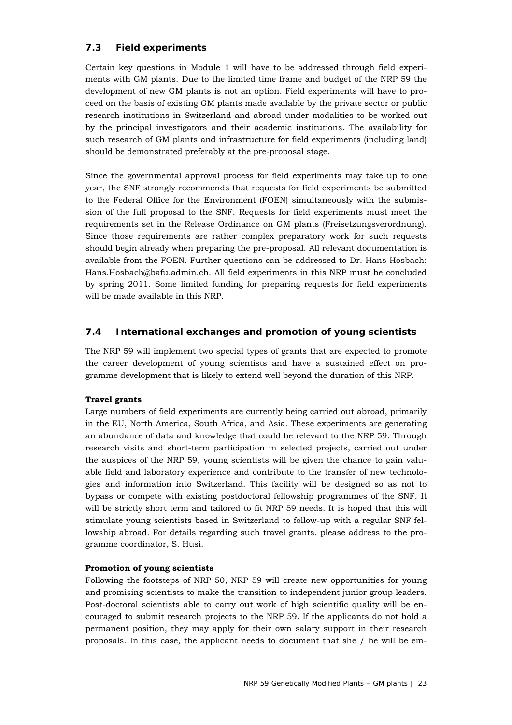# **7.3 Field experiments**

Certain key questions in Module 1 will have to be addressed through field experiments with GM plants. Due to the limited time frame and budget of the NRP 59 the development of new GM plants is not an option. Field experiments will have to proceed on the basis of existing GM plants made available by the private sector or public research institutions in Switzerland and abroad under modalities to be worked out by the principal investigators and their academic institutions. The availability for such research of GM plants and infrastructure for field experiments (including land) should be demonstrated preferably at the pre-proposal stage.

Since the governmental approval process for field experiments may take up to one year, the SNF strongly recommends that requests for field experiments be submitted to the Federal Office for the Environment (FOEN) simultaneously with the submission of the full proposal to the SNF. Requests for field experiments must meet the requirements set in the Release Ordinance on GM plants (Freisetzungsverordnung). Since those requirements are rather complex preparatory work for such requests should begin already when preparing the pre-proposal. All relevant documentation is available from the FOEN. Further questions can be addressed to Dr. Hans Hosbach: Hans.Hosbach@bafu.admin.ch. All field experiments in this NRP must be concluded by spring 2011. Some limited funding for preparing requests for field experiments will be made available in this NRP.

# **7.4 International exchanges and promotion of young scientists**

The NRP 59 will implement two special types of grants that are expected to promote the career development of young scientists and have a sustained effect on programme development that is likely to extend well beyond the duration of this NRP.

### **Travel grants**

Large numbers of field experiments are currently being carried out abroad, primarily in the EU, North America, South Africa, and Asia. These experiments are generating an abundance of data and knowledge that could be relevant to the NRP 59. Through research visits and short-term participation in selected projects, carried out under the auspices of the NRP 59, young scientists will be given the chance to gain valuable field and laboratory experience and contribute to the transfer of new technologies and information into Switzerland. This facility will be designed so as not to bypass or compete with existing postdoctoral fellowship programmes of the SNF. It will be strictly short term and tailored to fit NRP 59 needs. It is hoped that this will stimulate young scientists based in Switzerland to follow-up with a regular SNF fellowship abroad. For details regarding such travel grants, please address to the programme coordinator, S. Husi.

### **Promotion of young scientists**

Following the footsteps of NRP 50, NRP 59 will create new opportunities for young and promising scientists to make the transition to independent junior group leaders. Post-doctoral scientists able to carry out work of high scientific quality will be encouraged to submit research projects to the NRP 59. If the applicants do not hold a permanent position, they may apply for their own salary support in their research proposals. In this case, the applicant needs to document that she / he will be em-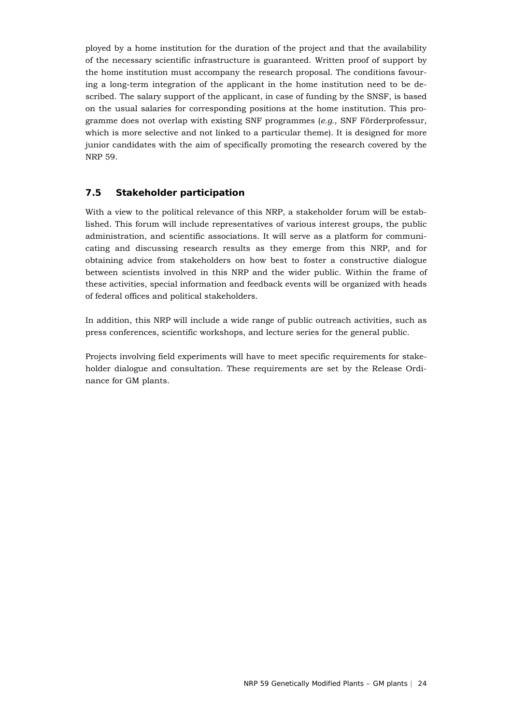ployed by a home institution for the duration of the project and that the availability of the necessary scientific infrastructure is guaranteed. Written proof of support by the home institution must accompany the research proposal. The conditions favouring a long-term integration of the applicant in the home institution need to be described. The salary support of the applicant, in case of funding by the SNSF, is based on the usual salaries for corresponding positions at the home institution. This programme does not overlap with existing SNF programmes (*e.g.*, SNF Förderprofessur, which is more selective and not linked to a particular theme). It is designed for more junior candidates with the aim of specifically promoting the research covered by the NRP 59.

### **7.5 Stakeholder participation**

With a view to the political relevance of this NRP, a stakeholder forum will be established. This forum will include representatives of various interest groups, the public administration, and scientific associations. It will serve as a platform for communicating and discussing research results as they emerge from this NRP, and for obtaining advice from stakeholders on how best to foster a constructive dialogue between scientists involved in this NRP and the wider public. Within the frame of these activities, special information and feedback events will be organized with heads of federal offices and political stakeholders.

In addition, this NRP will include a wide range of public outreach activities, such as press conferences, scientific workshops, and lecture series for the general public.

Projects involving field experiments will have to meet specific requirements for stakeholder dialogue and consultation. These requirements are set by the Release Ordinance for GM plants.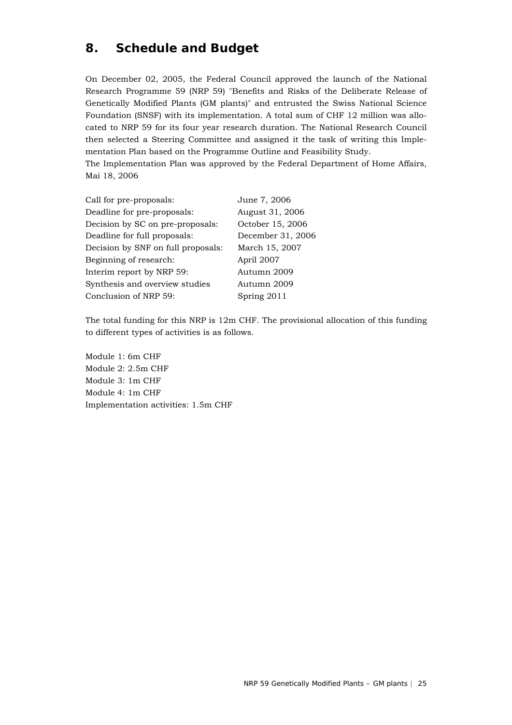# **8. Schedule and Budget**

On December 02, 2005, the Federal Council approved the launch of the National Research Programme 59 (NRP 59) "Benefits and Risks of the Deliberate Release of Genetically Modified Plants (GM plants)" and entrusted the Swiss National Science Foundation (SNSF) with its implementation. A total sum of CHF 12 million was allocated to NRP 59 for its four year research duration. The National Research Council then selected a Steering Committee and assigned it the task of writing this Implementation Plan based on the Programme Outline and Feasibility Study.

The Implementation Plan was approved by the Federal Department of Home Affairs, Mai 18, 2006

| Call for pre-proposals:            | June 7, 2006      |
|------------------------------------|-------------------|
| Deadline for pre-proposals:        | August 31, 2006   |
| Decision by SC on pre-proposals:   | October 15, 2006  |
| Deadline for full proposals:       | December 31, 2006 |
| Decision by SNF on full proposals: | March 15, 2007    |
| Beginning of research:             | April 2007        |
| Interim report by NRP 59:          | Autumn 2009       |
| Synthesis and overview studies     | Autumn 2009       |
| Conclusion of NRP 59:              | Spring 2011       |

The total funding for this NRP is 12m CHF. The provisional allocation of this funding to different types of activities is as follows.

Module 1: 6m CHF Module 2: 2.5m CHF Module 3: 1m CHF Module 4: 1m CHF Implementation activities: 1.5m CHF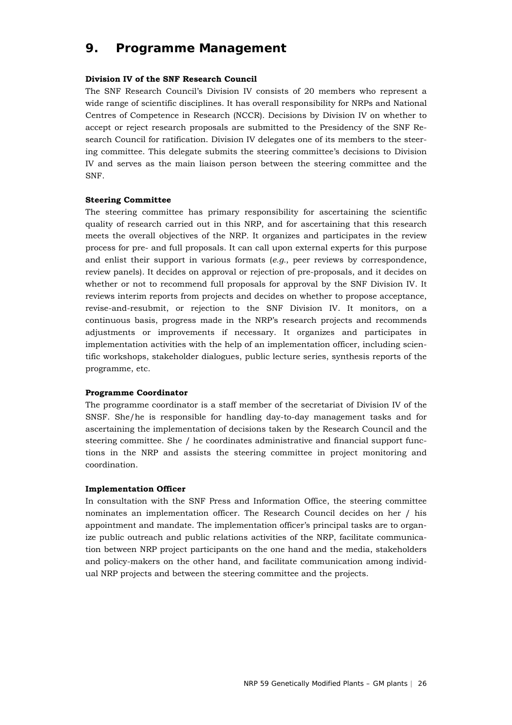# **9. Programme Management**

#### **Division IV of the SNF Research Council**

The SNF Research Council's Division IV consists of 20 members who represent a wide range of scientific disciplines. It has overall responsibility for NRPs and National Centres of Competence in Research (NCCR). Decisions by Division IV on whether to accept or reject research proposals are submitted to the Presidency of the SNF Research Council for ratification. Division IV delegates one of its members to the steering committee. This delegate submits the steering committee's decisions to Division IV and serves as the main liaison person between the steering committee and the SNF.

#### **Steering Committee**

The steering committee has primary responsibility for ascertaining the scientific quality of research carried out in this NRP, and for ascertaining that this research meets the overall objectives of the NRP. It organizes and participates in the review process for pre- and full proposals. It can call upon external experts for this purpose and enlist their support in various formats (*e.g.*, peer reviews by correspondence, review panels). It decides on approval or rejection of pre-proposals, and it decides on whether or not to recommend full proposals for approval by the SNF Division IV. It reviews interim reports from projects and decides on whether to propose acceptance, revise-and-resubmit, or rejection to the SNF Division IV. It monitors, on a continuous basis, progress made in the NRP's research projects and recommends adjustments or improvements if necessary. It organizes and participates in implementation activities with the help of an implementation officer, including scientific workshops, stakeholder dialogues, public lecture series, synthesis reports of the programme, etc.

#### **Programme Coordinator**

The programme coordinator is a staff member of the secretariat of Division IV of the SNSF. She/he is responsible for handling day-to-day management tasks and for ascertaining the implementation of decisions taken by the Research Council and the steering committee. She / he coordinates administrative and financial support functions in the NRP and assists the steering committee in project monitoring and coordination.

#### **Implementation Officer**

In consultation with the SNF Press and Information Office, the steering committee nominates an implementation officer. The Research Council decides on her / his appointment and mandate. The implementation officer's principal tasks are to organize public outreach and public relations activities of the NRP, facilitate communication between NRP project participants on the one hand and the media, stakeholders and policy-makers on the other hand, and facilitate communication among individual NRP projects and between the steering committee and the projects.